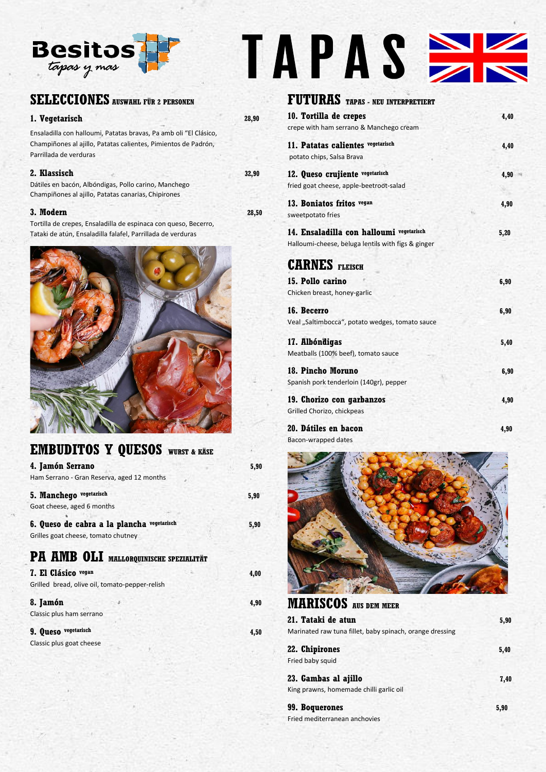

## **SELECCIONES AUSWAHL FÜR 2 PERSONEN**

### **1. Vegetarisch 28,90**

Ensaladilla con halloumi, Patatas bravas, Pa amb oli "El Clásico, Champiñones al ajillo, Patatas calientes, Pimientos de Padrón, Parrillada de verduras

### **2. Klassisch 32,90**

Dátiles en bacón, Albóndigas, Pollo carino, Manchego Champiñones al ajillo, Patatas canarias, Chipirones

### **3. Modern 28,50**

Tortilla de crepes, Ensaladilla de espinaca con queso, Becerro, Tataki de atún, Ensaladilla falafel, Parrillada de verduras

| <b>EMBUDITOS Y QUESOS</b> WURST & KÄSE                                            |      |
|-----------------------------------------------------------------------------------|------|
| 4. Jamón Serrano                                                                  | 5,90 |
| Ham Serrano - Gran Reserva, aged 12 months                                        |      |
| 5. Manchego vegetarisch                                                           | 5,90 |
| Goat cheese, aged 6 months                                                        |      |
| 6. Queso de cabra a la plancha vegetarisch<br>Grilles goat cheese, tomato chutney | 5,90 |
| PA AMB OLI MALLORQUINISCHE SPEZIALITÄT                                            |      |
| 7. El Clásico vegan                                                               | 4,00 |
| Grilled bread, olive oil, tomato-pepper-relish                                    |      |
| 8. Jamón                                                                          | 4,90 |
| Classic plus ham serrano                                                          |      |
| 9. Queso vegetarisch                                                              | 4,50 |

Classic plus goat cheese

# TAPAS SIS

### **FUTURAS TAPAS - NEU INTERPRETIERT**

| 10. Tortilla de crepes                             | 4,40 |
|----------------------------------------------------|------|
| crepe with ham serrano & Manchego cream            |      |
| 11. Patatas calientes vegetarisch                  | 4,40 |
| potato chips, Salsa Brava                          |      |
| 12. Queso crujiente vegetarisch                    | 4,90 |
| fried goat cheese, apple-beetroot-salad            |      |
| 13. Boniatos fritos vegan                          | 4,90 |
| sweetpotato fries                                  |      |
| 14. Ensaladilla con halloumi vegetarisch           | 5,20 |
| Halloumi-cheese, beluga lentils with figs & ginger |      |
| <b>CARNES</b> FLEISCH                              |      |
| 15. Pollo carino                                   | 6,90 |
| Chicken breast, honey-garlic                       |      |
| 16. Becerro                                        | 6,90 |
| Veal "Saltimbocca", potato wedges, tomato sauce    |      |
| 17. Albóndigas                                     | 5,40 |
| Meatballs (100% beef), tomato sauce                |      |
| 18. Pincho Moruno                                  | 6,90 |
| Spanish pork tenderloin (140gr), pepper            |      |
| 19. Chorizo con garbanzos                          | 4,90 |
| Grilled Chorizo, chickpeas                         |      |
| 20. Dátiles en bacon                               | 4.90 |

Bacon-wrapped dates



### **MARISCOS AUS DEM MEER**

| 21. Tataki de atun                                              | 5,90 |
|-----------------------------------------------------------------|------|
| Marinated raw tuna fillet, baby spinach, orange dressing        |      |
| 22. Chipirones<br>Fried baby squid                              | 5,40 |
| 23. Gambas al ajillo<br>King prawns, homemade chilli garlic oil | 7,40 |

**99. Boquerones 5,90** Fried mediterranean anchovies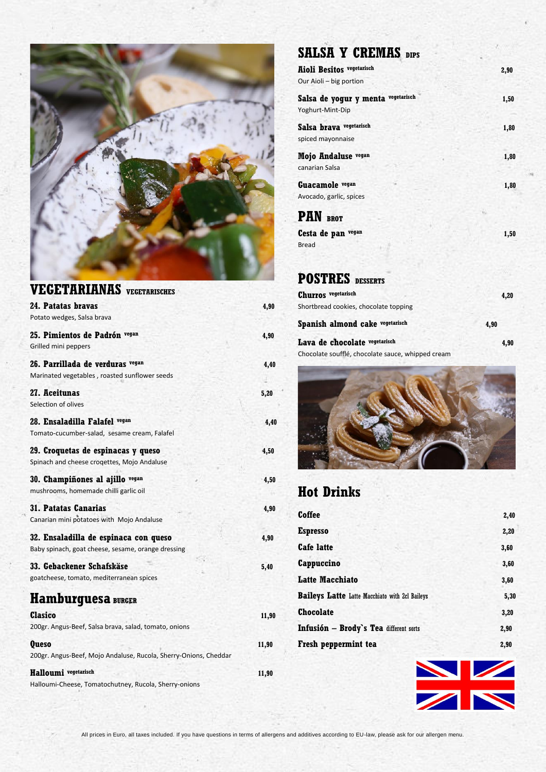

| <b>VEGETARIANAS</b> VEGETARISCHES                                                           |       |
|---------------------------------------------------------------------------------------------|-------|
| 24. Patatas bravas<br>Potato wedges, Salsa brava                                            | 4,90  |
| 25. Pimientos de Padrón vegan<br>Grilled mini peppers                                       | 4,90  |
| 26. Parrillada de verduras vegan<br>Marinated vegetables, roasted sunflower seeds           | 4,40  |
| 27. Aceitunas<br>Selection of olives                                                        | 5,20  |
| 28. Ensaladilla Falafel vegan<br>Tomato-cucumber-salad, sesame cream, Falafel               | 4,40  |
| 29. Croquetas de espinacas y queso<br>Spinach and cheese crogettes, Mojo Andaluse           | 4,50  |
| 30. Champiñones al ajillo vegan<br>mushrooms, homemade chilli garlic oil                    | 4,50  |
| <b>31. Patatas Canarias</b><br>Canarian mini potatoes with Mojo Andaluse                    | 4,90  |
| 32. Ensaladilla de espinaca con queso<br>Baby spinach, goat cheese, sesame, orange dressing | 4,90  |
| 33. Gebackener Schafskäse<br>goatcheese, tomato, mediterranean spices                       | 5,40  |
| Hamburguesa BURGER                                                                          |       |
| Clasico<br>200gr. Angus-Beef, Salsa brava, salad, tomato, onions                            | 11,90 |
| <b>Queso</b><br>200gr. Angus-Beef, Mojo Andaluse, Rucola, Sherry-Onions, Cheddar            | 11,90 |
| Halloumi vegetarisch                                                                        | 11,90 |

Halloumi-Cheese, Tomatochutney, Rucola, Sherry-onions

# **SALSA Y CREMAS DIPS**

| <b>Aioli Besitos vegetarisch</b>      | 2,90 |
|---------------------------------------|------|
| Our Aioli - big portion               |      |
| Salsa de yogur y menta vegetarisch    | 1,50 |
| Yoghurt-Mint-Dip                      |      |
| Salsa brava vegetarisch               | 1,80 |
| spiced mayonnaise                     |      |
| Mojo Andaluse vegan                   | 1,80 |
| canarian Salsa                        |      |
| Guacamole vegan                       | 1,80 |
| Avocado, garlic, spices               |      |
| <b>PAN BROT</b>                       |      |
| Cesta de pan vegan                    | 1,50 |
| <b>Bread</b>                          |      |
|                                       |      |
| <b>POSTRES</b> DESSERTS               |      |
| <b>Churros</b> vegetarisch            | 4,20 |
| Shortbread cookies, chocolate topping |      |
| Spanish almond cake vegetarisch       | 4,90 |
| Lava de chocolate vegetarisch         | 4.90 |

Chocolate soufflé, chocolate sauce, whipped cream



# **Hot Drinks**

| Coffee                                                | 2,40 |
|-------------------------------------------------------|------|
| <b>Espresso</b>                                       | 2,20 |
| <b>Cafe latte</b>                                     | 3,60 |
| Cappuccino                                            | 3,60 |
| <b>Latte Macchiato</b>                                | 3,60 |
| <b>Baileys Latte</b> Latte Macchiato with 2cl Baileys | 5,30 |
| <b>Chocolate</b>                                      | 3,20 |
| Infusión - Brody's Tea different sorts                | 2,90 |
| Fresh peppermint tea                                  | 2,90 |
|                                                       |      |